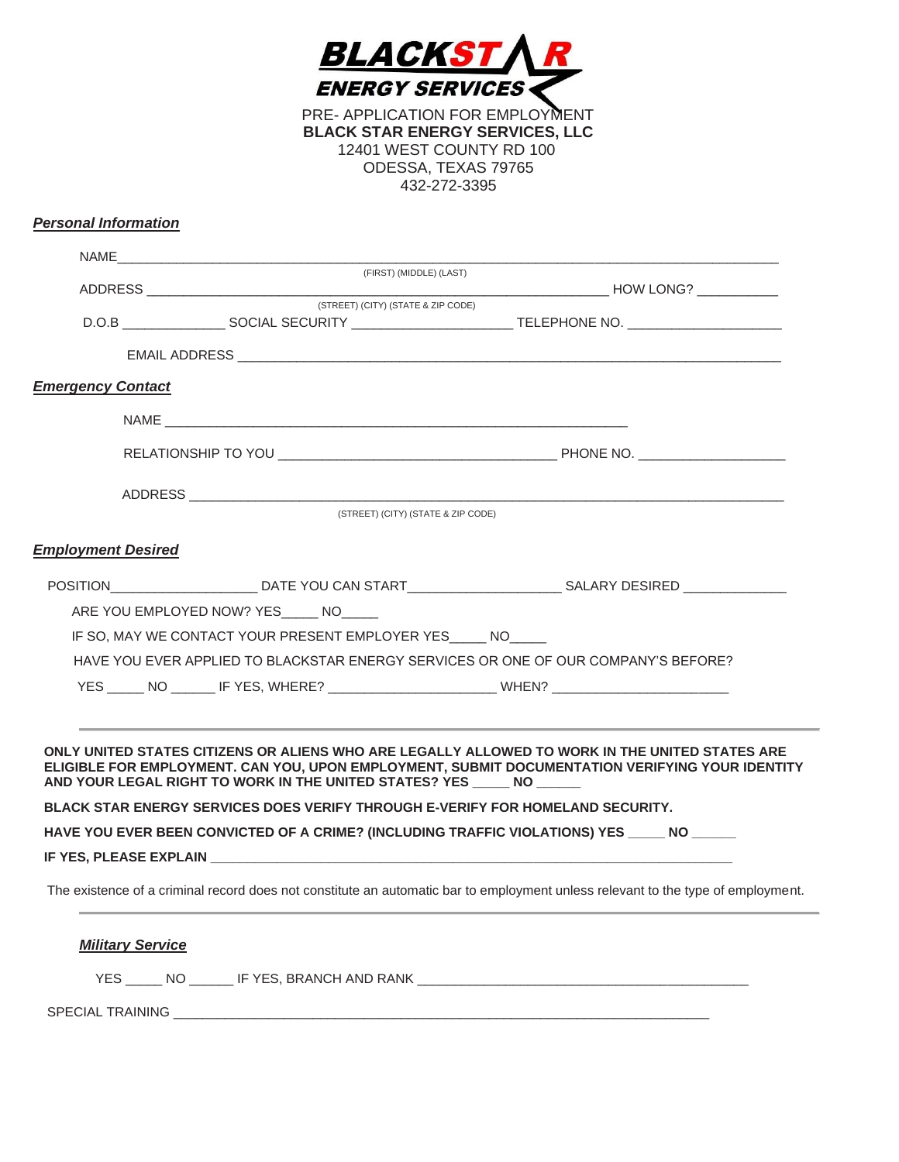

PRE- APPLICATION FOR EMPLOYMENT **BLACK STAR ENERGY SERVICES, LLC**  12401 WEST COUNTY RD 100 ODESSA, TEXAS 79765 432-272-3395

## *Personal Information*

|                           | (FIRST) (MIDDLE) (LAST)                                                                                                                                                                                                        |                                                                                                                                                                                                   |
|---------------------------|--------------------------------------------------------------------------------------------------------------------------------------------------------------------------------------------------------------------------------|---------------------------------------------------------------------------------------------------------------------------------------------------------------------------------------------------|
|                           | (STREET) (CITY) (STATE & ZIP CODE)                                                                                                                                                                                             |                                                                                                                                                                                                   |
|                           |                                                                                                                                                                                                                                | D.O.B ____________________SOCIAL SECURITY ____________________________TELEPHONE NO. ______________________                                                                                        |
|                           |                                                                                                                                                                                                                                |                                                                                                                                                                                                   |
| <b>Emergency Contact</b>  |                                                                                                                                                                                                                                |                                                                                                                                                                                                   |
|                           |                                                                                                                                                                                                                                |                                                                                                                                                                                                   |
|                           |                                                                                                                                                                                                                                |                                                                                                                                                                                                   |
|                           |                                                                                                                                                                                                                                |                                                                                                                                                                                                   |
|                           | (STREET) (CITY) (STATE & ZIP CODE)                                                                                                                                                                                             |                                                                                                                                                                                                   |
| <b>Employment Desired</b> |                                                                                                                                                                                                                                |                                                                                                                                                                                                   |
|                           |                                                                                                                                                                                                                                | POSITION__________________________DATE YOU CAN START_____________________________SALARY DESIRED _____________                                                                                     |
|                           | ARE YOU EMPLOYED NOW? YES NO                                                                                                                                                                                                   |                                                                                                                                                                                                   |
|                           | IF SO, MAY WE CONTACT YOUR PRESENT EMPLOYER YES NO                                                                                                                                                                             |                                                                                                                                                                                                   |
|                           |                                                                                                                                                                                                                                | HAVE YOU EVER APPLIED TO BLACKSTAR ENERGY SERVICES OR ONE OF OUR COMPANY'S BEFORE?                                                                                                                |
|                           |                                                                                                                                                                                                                                | YES ______ NO ________ IF YES, WHERE? ____________________________WHEN? ____________________________                                                                                              |
|                           |                                                                                                                                                                                                                                |                                                                                                                                                                                                   |
|                           | AND YOUR LEGAL RIGHT TO WORK IN THE UNITED STATES? YES NO NO NO REALLY AND REALLY AND REALLY AND REALLY AND REALLY AND REALLY AND REALLY AND REALLY AND REALLY AND REALLY AND REALLY AND REALLY AND REALLY AND REALLY AND REAL | ONLY UNITED STATES CITIZENS OR ALIENS WHO ARE LEGALLY ALLOWED TO WORK IN THE UNITED STATES ARE<br>ELIGIBLE FOR EMPLOYMENT. CAN YOU, UPON EMPLOYMENT, SUBMIT DOCUMENTATION VERIFYING YOUR IDENTITY |
|                           | <b>BLACK STAR ENERGY SERVICES DOES VERIFY THROUGH E-VERIFY FOR HOMELAND SECURITY.</b>                                                                                                                                          |                                                                                                                                                                                                   |
|                           |                                                                                                                                                                                                                                | HAVE YOU EVER BEEN CONVICTED OF A CRIME? (INCLUDING TRAFFIC VIOLATIONS) YES _____ NO _____                                                                                                        |
|                           |                                                                                                                                                                                                                                |                                                                                                                                                                                                   |
|                           |                                                                                                                                                                                                                                |                                                                                                                                                                                                   |
|                           |                                                                                                                                                                                                                                | The existence of a criminal record does not constitute an automatic bar to employment unless relevant to the type of employment.                                                                  |

 $\sim$ 

YES \_\_\_\_\_ NO \_\_\_\_\_\_ IF YES, BRANCH AND RANK \_\_\_\_\_\_\_\_\_\_\_\_\_\_\_\_\_\_\_\_\_\_\_\_\_\_\_\_\_\_\_\_\_\_\_\_\_\_\_\_\_\_\_\_\_

SPECIAL TRAINING \_\_\_\_\_\_\_\_\_\_\_\_\_\_\_\_\_\_\_\_\_\_\_\_\_\_\_\_\_\_\_\_\_\_\_\_\_\_\_\_\_\_\_\_\_\_\_\_\_\_\_\_\_\_\_\_\_\_\_\_\_\_\_\_\_\_\_\_\_\_\_\_\_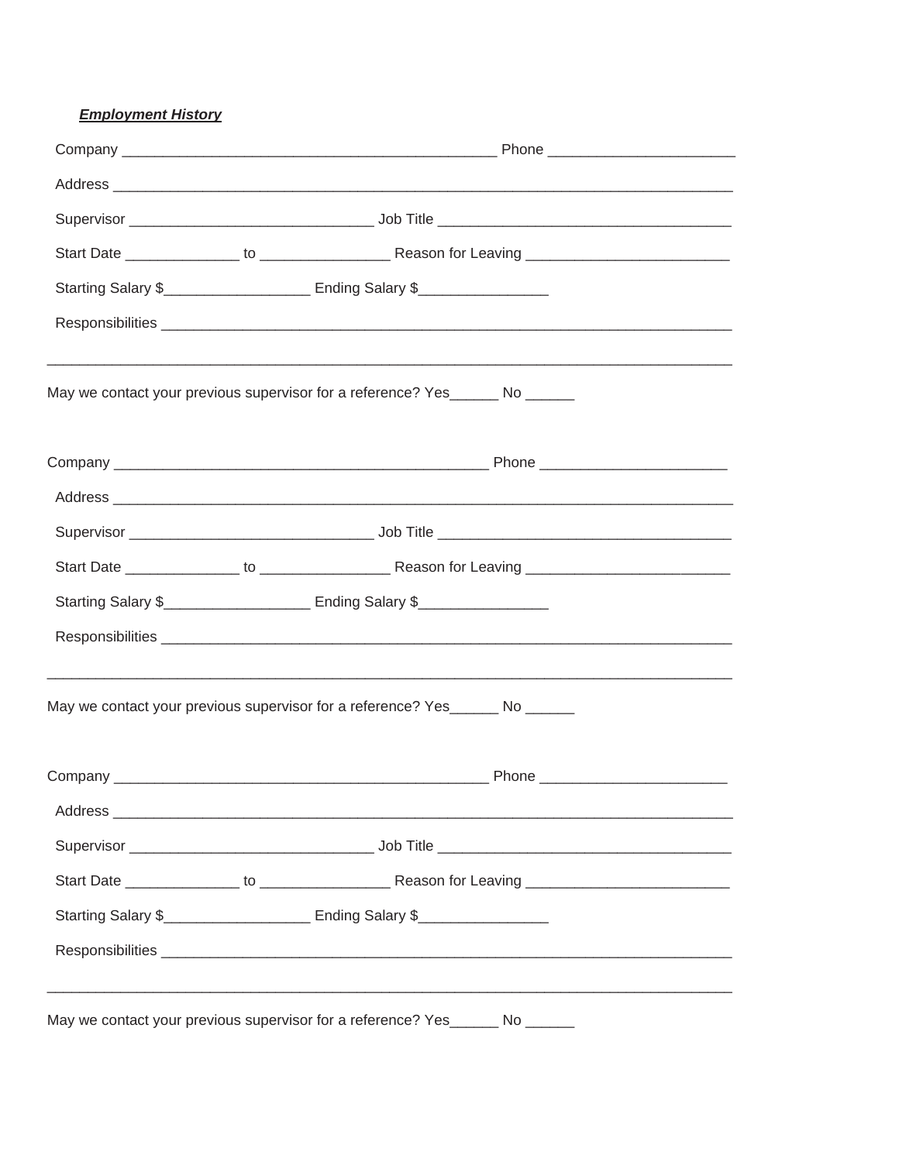## **Employment History**

| Starting Salary \$_________________________ Ending Salary \$______________________<br>May we contact your previous supervisor for a reference? Yes______ No ______<br>Address experiences and a series of the contract of the contract of the contract of the contract of the contract of the contract of the contract of the contract of the contract of the contract of the contract of the contra<br>Starting Salary \$_____________________ Ending Salary \$_________________<br>May we contact your previous supervisor for a reference? Yes______ No ______<br>Starting Salary \$_______________________ Ending Salary \$__________________ |  |
|---------------------------------------------------------------------------------------------------------------------------------------------------------------------------------------------------------------------------------------------------------------------------------------------------------------------------------------------------------------------------------------------------------------------------------------------------------------------------------------------------------------------------------------------------------------------------------------------------------------------------------------------------|--|
|                                                                                                                                                                                                                                                                                                                                                                                                                                                                                                                                                                                                                                                   |  |
|                                                                                                                                                                                                                                                                                                                                                                                                                                                                                                                                                                                                                                                   |  |
|                                                                                                                                                                                                                                                                                                                                                                                                                                                                                                                                                                                                                                                   |  |
|                                                                                                                                                                                                                                                                                                                                                                                                                                                                                                                                                                                                                                                   |  |
|                                                                                                                                                                                                                                                                                                                                                                                                                                                                                                                                                                                                                                                   |  |
|                                                                                                                                                                                                                                                                                                                                                                                                                                                                                                                                                                                                                                                   |  |
|                                                                                                                                                                                                                                                                                                                                                                                                                                                                                                                                                                                                                                                   |  |
|                                                                                                                                                                                                                                                                                                                                                                                                                                                                                                                                                                                                                                                   |  |
|                                                                                                                                                                                                                                                                                                                                                                                                                                                                                                                                                                                                                                                   |  |
|                                                                                                                                                                                                                                                                                                                                                                                                                                                                                                                                                                                                                                                   |  |
|                                                                                                                                                                                                                                                                                                                                                                                                                                                                                                                                                                                                                                                   |  |
|                                                                                                                                                                                                                                                                                                                                                                                                                                                                                                                                                                                                                                                   |  |
|                                                                                                                                                                                                                                                                                                                                                                                                                                                                                                                                                                                                                                                   |  |
|                                                                                                                                                                                                                                                                                                                                                                                                                                                                                                                                                                                                                                                   |  |
|                                                                                                                                                                                                                                                                                                                                                                                                                                                                                                                                                                                                                                                   |  |
|                                                                                                                                                                                                                                                                                                                                                                                                                                                                                                                                                                                                                                                   |  |
|                                                                                                                                                                                                                                                                                                                                                                                                                                                                                                                                                                                                                                                   |  |
|                                                                                                                                                                                                                                                                                                                                                                                                                                                                                                                                                                                                                                                   |  |
|                                                                                                                                                                                                                                                                                                                                                                                                                                                                                                                                                                                                                                                   |  |
| May we contact your previous supervisor for a reference? Yes______ No ______                                                                                                                                                                                                                                                                                                                                                                                                                                                                                                                                                                      |  |